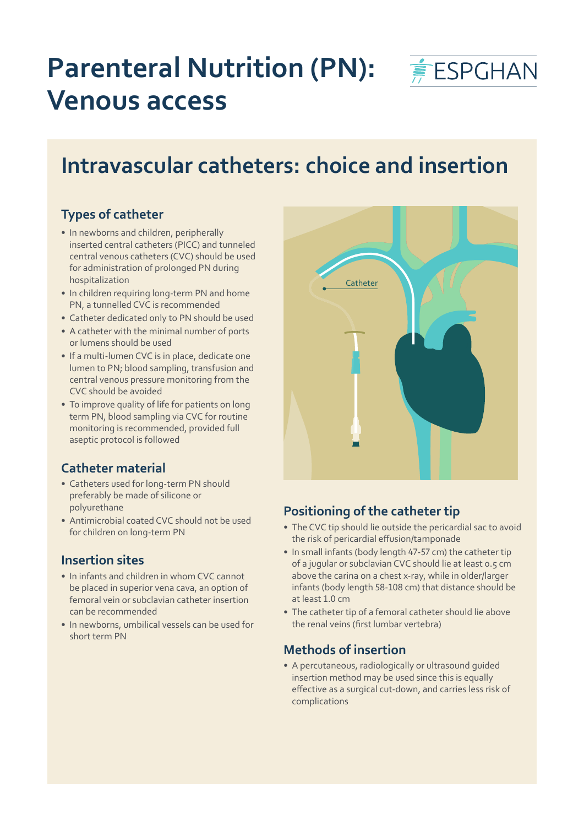

# **Parenteral Nutrition (PN): Venous access**

# **Intravascular catheters: choice and insertion**

### **Types of catheter**

- In newborns and children, peripherally inserted central catheters (PICC) and tunneled central venous catheters (CVC) should be used for administration of prolonged PN during hospitalization
- In children requiring long-term PN and home PN, a tunnelled CVC is recommended
- Catheter dedicated only to PN should be used
- A catheter with the minimal number of ports or lumens should be used
- If a multi-lumen CVC is in place, dedicate one lumen to PN; blood sampling, transfusion and central venous pressure monitoring from the CVC should be avoided
- To improve quality of life for patients on long term PN, blood sampling via CVC for routine monitoring is recommended, provided full aseptic protocol is followed

### **Catheter material**

- Catheters used for long-term PN should preferably be made of silicone or polyurethane
- Antimicrobial coated CVC should not be used for children on long-term PN

### **Insertion sites**

- In infants and children in whom CVC cannot be placed in superior vena cava, an option of femoral vein or subclavian catheter insertion can be recommended
- In newborns, umbilical vessels can be used for short term PN



## **Positioning of the catheter tip**

- The CVC tip should lie outside the pericardial sac to avoid the risk of pericardial effusion/tamponade
- In small infants (body length 47-57 cm) the catheter tip of a jugular or subclavian CVC should lie at least 0.5 cm above the carina on a chest x-ray, while in older/larger infants (body length 58-108 cm) that distance should be at least 1.0 cm
- The catheter tip of a femoral catheter should lie above the renal veins (first lumbar vertebra)

### **Methods of insertion**

• A percutaneous, radiologically or ultrasound guided insertion method may be used since this is equally effective as a surgical cut-down, and carries less risk of complications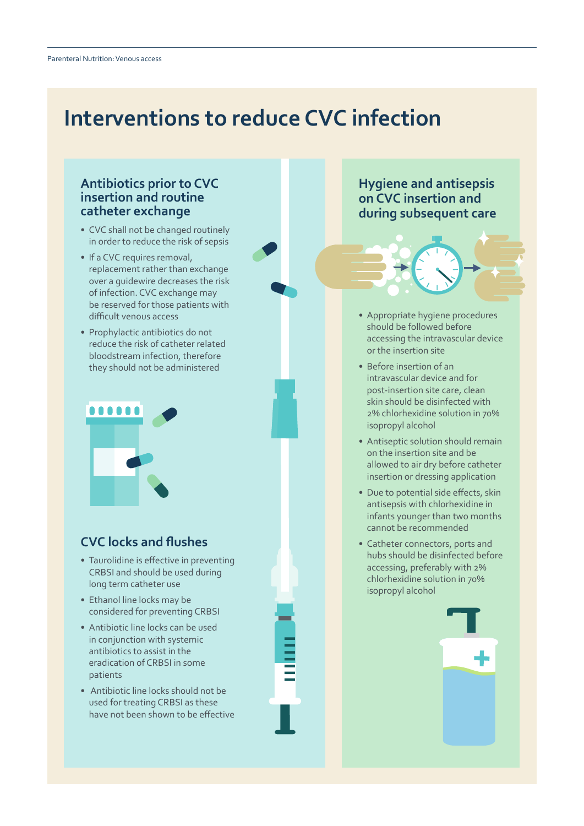# **Interventions to reduce CVC infection**

#### **Antibiotics prior to CVC insertion and routine catheter exchange**

- CVC shall not be changed routinely in order to reduce the risk of sepsis
- If a CVC requires removal, replacement rather than exchange over a guidewire decreases the risk of infection. CVC exchange may be reserved for those patients with difficult venous access
- Prophylactic antibiotics do not reduce the risk of catheter related bloodstream infection, therefore they should not be administered



### **CVC locks and flushes**

- Taurolidine is effective in preventing CRBSI and should be used during long term catheter use
- Ethanol line locks may be considered for preventing CRBSI
- Antibiotic line locks can be used in conjunction with systemic antibiotics to assist in the eradication of CRBSI in some patients
- Antibiotic line locks should not be used for treating CRBSI as these have not been shown to be effective

### **Hygiene and antisepsis on CVC insertion and during subsequent care**

- Appropriate hygiene procedures should be followed before accessing the intravascular device or the insertion site
- Before insertion of an intravascular device and for post-insertion site care, clean skin should be disinfected with 2% chlorhexidine solution in 70% isopropyl alcohol
- Antiseptic solution should remain on the insertion site and be allowed to air dry before catheter insertion or dressing application
- Due to potential side effects, skin antisepsis with chlorhexidine in infants younger than two months cannot be recommended
- Catheter connectors, ports and hubs should be disinfected before accessing, preferably with 2% chlorhexidine solution in 70% isopropyl alcohol